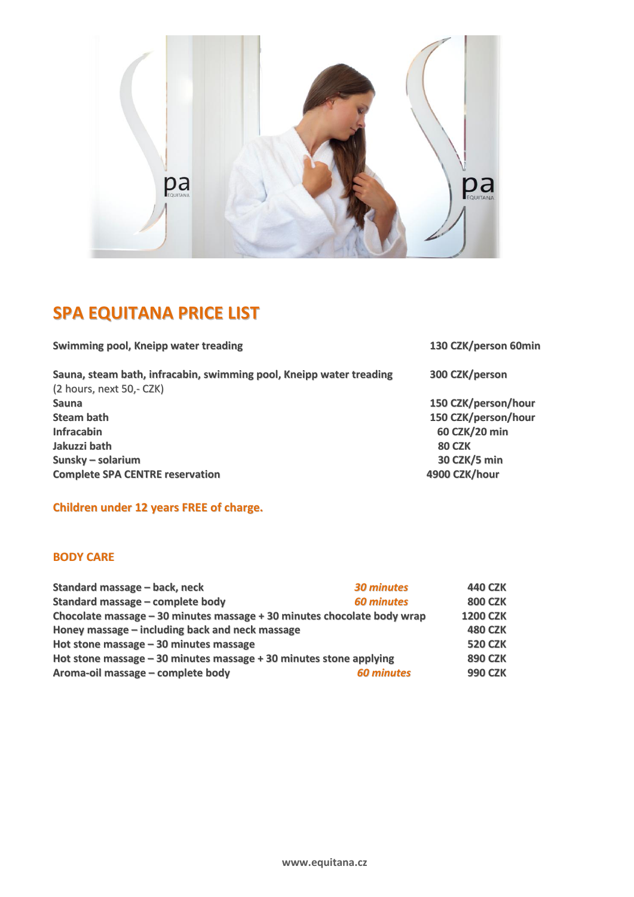

## **SPA EQUITANA PRICE LIST**

**Swimming pool, Kneipp water treading 130 CZK/person 60min Sauna, steam bath, infracabin, swimming pool, Kneipp water treading 300 CZK/person** (2 hours, next 50,- CZK) **Sauna 150 CZK/person/hour Steam bath 150 CZK/person/hour Infracabin 60 CZK/20 min Jakuzzi bath 80 CZK Sunsky – solarium 30 CZK/5 min Complete SPA CENTRE reservation** 

**Children under 12 years FREE of charge.**

## **BODY CARE**

| Standard massage - back, neck                                           | <b>30 minutes</b> | <b>440 CZK</b>  |
|-------------------------------------------------------------------------|-------------------|-----------------|
| Standard massage - complete body                                        | <b>60 minutes</b> | <b>800 CZK</b>  |
| Chocolate massage - 30 minutes massage + 30 minutes chocolate body wrap |                   | <b>1200 CZK</b> |
| Honey massage – including back and neck massage                         |                   | <b>480 CZK</b>  |
| Hot stone massage $-30$ minutes massage                                 |                   | <b>520 CZK</b>  |
| Hot stone massage $-30$ minutes massage $+30$ minutes stone applying    |                   | <b>890 CZK</b>  |
| Aroma-oil massage - complete body                                       | <b>60 minutes</b> | <b>990 CZK</b>  |